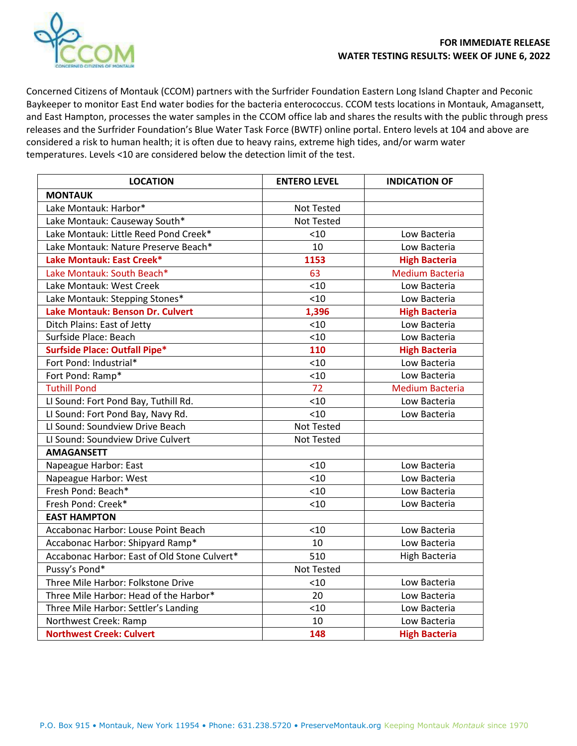

Concerned Citizens of Montauk (CCOM) partners with the Surfrider Foundation Eastern Long Island Chapter and Peconic Baykeeper to monitor East End water bodies for the bacteria enterococcus. CCOM tests locations in Montauk, Amagansett, and East Hampton, processes the water samples in the CCOM office lab and shares the results with the public through press releases and the Surfrider Foundation's Blue Water Task Force (BWTF) online portal. Entero levels at 104 and above are considered a risk to human health; it is often due to heavy rains, extreme high tides, and/or warm water temperatures. Levels <10 are considered below the detection limit of the test.

| <b>LOCATION</b>                              | <b>ENTERO LEVEL</b> | <b>INDICATION OF</b>   |
|----------------------------------------------|---------------------|------------------------|
| <b>MONTAUK</b>                               |                     |                        |
| Lake Montauk: Harbor*                        | Not Tested          |                        |
| Lake Montauk: Causeway South*                | Not Tested          |                        |
| Lake Montauk: Little Reed Pond Creek*        | < 10                | Low Bacteria           |
| Lake Montauk: Nature Preserve Beach*         | 10                  | Low Bacteria           |
| Lake Montauk: East Creek*                    | 1153                | <b>High Bacteria</b>   |
| Lake Montauk: South Beach*                   | 63                  | <b>Medium Bacteria</b> |
| Lake Montauk: West Creek                     | < 10                | Low Bacteria           |
| Lake Montauk: Stepping Stones*               | < 10                | Low Bacteria           |
| Lake Montauk: Benson Dr. Culvert             | 1,396               | <b>High Bacteria</b>   |
| Ditch Plains: East of Jetty                  | < 10                | Low Bacteria           |
| Surfside Place: Beach                        | < 10                | Low Bacteria           |
| <b>Surfside Place: Outfall Pipe*</b>         | 110                 | <b>High Bacteria</b>   |
| Fort Pond: Industrial*                       | < 10                | Low Bacteria           |
| Fort Pond: Ramp*                             | < 10                | Low Bacteria           |
| <b>Tuthill Pond</b>                          | 72                  | <b>Medium Bacteria</b> |
| LI Sound: Fort Pond Bay, Tuthill Rd.         | < 10                | Low Bacteria           |
| LI Sound: Fort Pond Bay, Navy Rd.            | < 10                | Low Bacteria           |
| LI Sound: Soundview Drive Beach              | Not Tested          |                        |
| LI Sound: Soundview Drive Culvert            | Not Tested          |                        |
| <b>AMAGANSETT</b>                            |                     |                        |
| Napeague Harbor: East                        | < 10                | Low Bacteria           |
| Napeague Harbor: West                        | < 10                | Low Bacteria           |
| Fresh Pond: Beach*                           | < 10                | Low Bacteria           |
| Fresh Pond: Creek*                           | < 10                | Low Bacteria           |
| <b>EAST HAMPTON</b>                          |                     |                        |
| Accabonac Harbor: Louse Point Beach          | < 10                | Low Bacteria           |
| Accabonac Harbor: Shipyard Ramp*             | 10                  | Low Bacteria           |
| Accabonac Harbor: East of Old Stone Culvert* | 510                 | <b>High Bacteria</b>   |
| Pussy's Pond*                                | Not Tested          |                        |
| Three Mile Harbor: Folkstone Drive           | < 10                | Low Bacteria           |
| Three Mile Harbor: Head of the Harbor*       | 20                  | Low Bacteria           |
| Three Mile Harbor: Settler's Landing         | < 10                | Low Bacteria           |
| Northwest Creek: Ramp                        | 10                  | Low Bacteria           |
| <b>Northwest Creek: Culvert</b>              | 148                 | <b>High Bacteria</b>   |